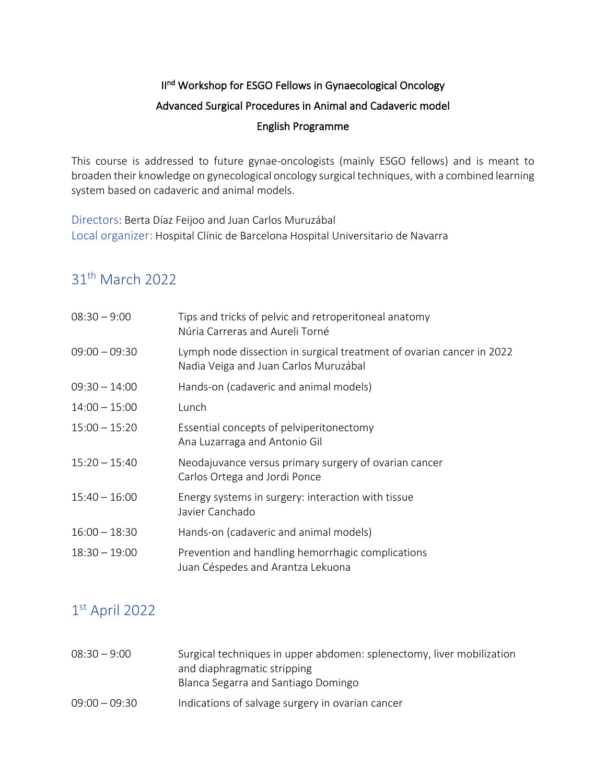# II<sup>nd</sup> Workshop for ESGO Fellows in Gynaecological Oncology Advanced Surgical Procedures in Animal and Cadaveric model English Programme

This course is addressed to future gynae-oncologists (mainly ESGO fellows) and is meant to broaden their knowledge on gynecological oncology surgical techniques, with a combined learning system based on cadaveric and animal models.

Directors: Berta Díaz Feijoo and Juan Carlos Muruzábal Local organizer: Hospital Clínic de Barcelona Hospital Universitario de Navarra

# 31th March 2022

| $08:30 - 9:00$  | Tips and tricks of pelvic and retroperitoneal anatomy<br>Núria Carreras and Aureli Torné                       |
|-----------------|----------------------------------------------------------------------------------------------------------------|
| $09:00 - 09:30$ | Lymph node dissection in surgical treatment of ovarian cancer in 2022<br>Nadia Veiga and Juan Carlos Muruzábal |
| $09:30 - 14:00$ | Hands-on (cadaveric and animal models)                                                                         |
| $14:00 - 15:00$ | Lunch                                                                                                          |
| $15:00 - 15:20$ | Essential concepts of pelviperitonectomy<br>Ana Luzarraga and Antonio Gil                                      |
| $15:20 - 15:40$ | Neodajuvance versus primary surgery of ovarian cancer<br>Carlos Ortega and Jordi Ponce                         |
| $15:40 - 16:00$ | Energy systems in surgery: interaction with tissue<br>Javier Canchado                                          |
| $16:00 - 18:30$ | Hands-on (cadaveric and animal models)                                                                         |
| $18:30 - 19:00$ | Prevention and handling hemorrhagic complications<br>Juan Céspedes and Arantza Lekuona                         |

## 1st April 2022

| $08:30 - 9:00$  | Surgical techniques in upper abdomen: splenectomy, liver mobilization<br>and diaphragmatic stripping |
|-----------------|------------------------------------------------------------------------------------------------------|
|                 | Blanca Segarra and Santiago Domingo                                                                  |
| $09:00 - 09:30$ | Indications of salvage surgery in ovarian cancer                                                     |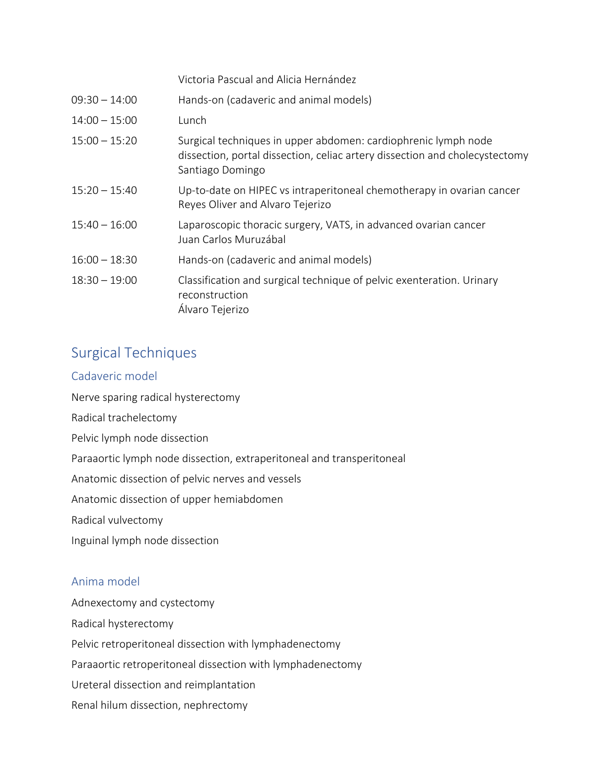Victoria Pascual and Alicia Hernández

| $09:30 - 14:00$ | Hands-on (cadaveric and animal models)                                                                                                                            |
|-----------------|-------------------------------------------------------------------------------------------------------------------------------------------------------------------|
| $14:00 - 15:00$ | Lunch                                                                                                                                                             |
| $15:00 - 15:20$ | Surgical techniques in upper abdomen: cardiophrenic lymph node<br>dissection, portal dissection, celiac artery dissection and cholecystectomy<br>Santiago Domingo |
| $15:20 - 15:40$ | Up-to-date on HIPEC vs intraperitoneal chemotherapy in ovarian cancer<br>Reyes Oliver and Alvaro Tejerizo                                                         |
| $15:40 - 16:00$ | Laparoscopic thoracic surgery, VATS, in advanced ovarian cancer<br>Juan Carlos Muruzábal                                                                          |
| $16:00 - 18:30$ | Hands-on (cadaveric and animal models)                                                                                                                            |
| $18:30 - 19:00$ | Classification and surgical technique of pelvic exenteration. Urinary<br>reconstruction<br>Álvaro Tejerizo                                                        |

## Surgical Techniques

#### Cadaveric model

Nerve sparing radical hysterectomy Radical trachelectomy Pelvic lymph node dissection Paraaortic lymph node dissection, extraperitoneal and transperitoneal Anatomic dissection of pelvic nerves and vessels Anatomic dissection of upper hemiabdomen Radical vulvectomy Inguinal lymph node dissection

#### Anima model

Adnexectomy and cystectomy Radical hysterectomy Pelvic retroperitoneal dissection with lymphadenectomy Paraaortic retroperitoneal dissection with lymphadenectomy Ureteral dissection and reimplantation Renal hilum dissection, nephrectomy